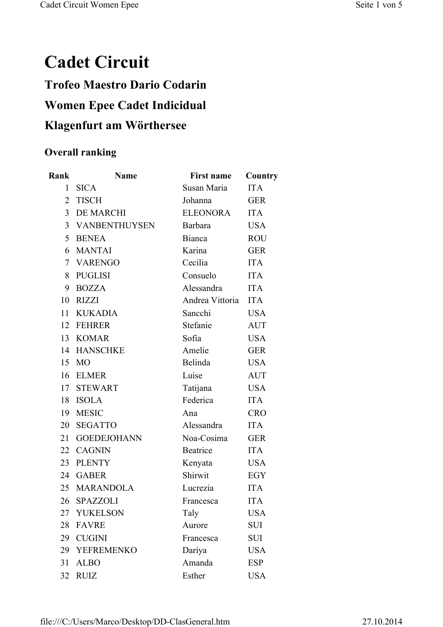## **Cadet Circuit**

## **Trofeo Maestro Dario Codarin Women Epee Cadet Indicidual Klagenfurt am Wörthersee**

## **Overall ranking**

| Rank           | <b>Name</b>        | <b>First name</b> | Country    |
|----------------|--------------------|-------------------|------------|
| $\mathbf{1}$   | <b>SICA</b>        | Susan Maria       | <b>ITA</b> |
| $\overline{2}$ | <b>TISCH</b>       | Johanna           | <b>GER</b> |
|                | 3 DE MARCHI        | <b>ELEONORA</b>   | <b>ITA</b> |
|                | 3 VANBENTHUYSEN    | Barbara           | <b>USA</b> |
|                | 5 BENEA            | Bianca            | <b>ROU</b> |
|                | 6 MANTAI           | Karina            | <b>GER</b> |
|                | 7 VARENGO          | Cecilia           | <b>ITA</b> |
|                | 8 PUGLISI          | Consuelo          | <b>ITA</b> |
| 9              | <b>BOZZA</b>       | Alessandra        | <b>ITA</b> |
| 10             | RIZZI              | Andrea Vittoria   | <b>ITA</b> |
|                | 11 KUKADIA         | Sancchi           | <b>USA</b> |
|                | 12 FEHRER          | Stefanie          | <b>AUT</b> |
|                | 13 KOMAR           | Sofia             | <b>USA</b> |
|                | 14 HANSCHKE        | Amelie            | <b>GER</b> |
| 15             | <b>MO</b>          | Belinda           | <b>USA</b> |
| 16             | <b>ELMER</b>       | Luise             | <b>AUT</b> |
|                | 17 STEWART         | Tatijana          | <b>USA</b> |
| 18             | <b>ISOLA</b>       | Federica          | <b>ITA</b> |
| 19             | <b>MESIC</b>       | Ana               | <b>CRO</b> |
| 20             | <b>SEGATTO</b>     | Alessandra        | <b>ITA</b> |
| 21             | <b>GOEDEJOHANN</b> | Noa-Cosima        | <b>GER</b> |
|                | 22 CAGNIN          | Beatrice          | <b>ITA</b> |
| 23             | <b>PLENTY</b>      | Kenyata           | <b>USA</b> |
| 24             | <b>GABER</b>       | Shirwit           | EGY        |
| 25             | <b>MARANDOLA</b>   | Lucrezia          | <b>ITA</b> |
| 26             | <b>SPAZZOLI</b>    | Francesca         | <b>ITA</b> |
| 27             | <b>YUKELSON</b>    | Taly              | <b>USA</b> |
| 28             | <b>FAVRE</b>       | Aurore            | <b>SUI</b> |
| 29             | <b>CUGINI</b>      | Francesca         | <b>SUI</b> |
| 29             | <b>YEFREMENKO</b>  | Dariya            | <b>USA</b> |
| 31             | <b>ALBO</b>        | Amanda            | <b>ESP</b> |
| 32             | <b>RUIZ</b>        | Esther            | <b>USA</b> |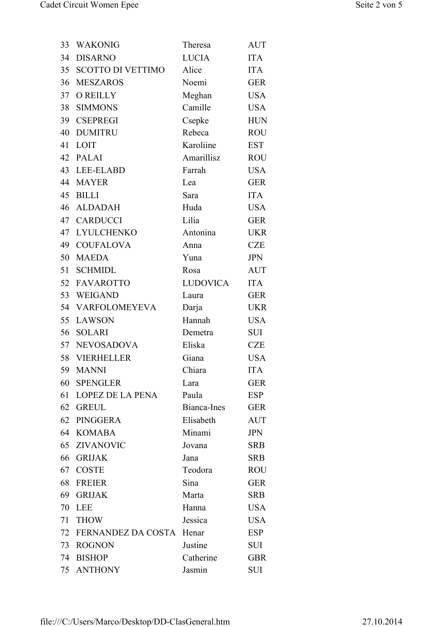| 33 | <b>WAKONIG</b>           | Theresa         | <b>AUT</b> |
|----|--------------------------|-----------------|------------|
| 34 | <b>DISARNO</b>           | <b>LUCIA</b>    | <b>ITA</b> |
| 35 | <b>SCOTTO DI VETTIMO</b> | Alice           | <b>ITA</b> |
| 36 | <b>MESZAROS</b>          | Noemi           | <b>GER</b> |
| 37 | <b>O REILLY</b>          | Meghan          | <b>USA</b> |
|    | 38 SIMMONS               | Camille         | <b>USA</b> |
|    | 39 CSEPREGI              | Csepke          | <b>HUN</b> |
| 40 | <b>DUMITRU</b>           | Rebeca          | <b>ROU</b> |
| 41 | LOIT                     | Karoliine       | <b>EST</b> |
|    | 42 PALAI                 | Amarillisz      | <b>ROU</b> |
|    | 43 LEE-ELABD             | Farrah          | <b>USA</b> |
| 44 | <b>MAYER</b>             | Lea             | <b>GER</b> |
| 45 | <b>BILLI</b>             | Sara            | <b>ITA</b> |
|    | 46 ALDADAH               | Huda            | <b>USA</b> |
|    | 47 CARDUCCI              | Lilia           | <b>GER</b> |
| 47 | <b>LYULCHENKO</b>        | Antonina        | <b>UKR</b> |
|    | 49 COUFALOVA             | Anna            | <b>CZE</b> |
| 50 | <b>MAEDA</b>             | Yuna            | <b>JPN</b> |
| 51 | <b>SCHMIDL</b>           | Rosa            | <b>AUT</b> |
| 52 | <b>FAVAROTTO</b>         | <b>LUDOVICA</b> | <b>ITA</b> |
|    | 53 WEIGAND               | Laura           | <b>GER</b> |
|    | 54 VARFOLOMEYEVA         | Darja           | <b>UKR</b> |
| 55 | <b>LAWSON</b>            | Hannah          | <b>USA</b> |
|    | 56 SOLARI                | Demetra         | SUI        |
|    | 57 NEVOSADOVA            | Eliska          | <b>CZE</b> |
|    | 58 VIERHELLER            | Giana           | <b>USA</b> |
| 59 | <b>MANNI</b>             | Chiara          | <b>ITA</b> |
| 60 | <b>SPENGLER</b>          | Lara            | <b>GER</b> |
| 61 | <b>LOPEZ DE LA PENA</b>  | Paula           | <b>ESP</b> |
|    | 62 GREUL                 | Bianca-Ines     | <b>GER</b> |
| 62 | PINGGERA                 | Elisabeth       | <b>AUT</b> |
| 64 | <b>KOMABA</b>            | Minami          | <b>JPN</b> |
| 65 | <b>ZIVANOVIC</b>         | Jovana          | <b>SRB</b> |
| 66 | <b>GRIJAK</b>            | Jana            | <b>SRB</b> |
| 67 | <b>COSTE</b>             | Teodora         | <b>ROU</b> |
| 68 | <b>FREIER</b>            | Sina            | <b>GER</b> |
| 69 | <b>GRIJAK</b>            | Marta           | <b>SRB</b> |
| 70 | <b>LEE</b>               | Hanna           | <b>USA</b> |
| 71 | <b>THOW</b>              | Jessica         | <b>USA</b> |
| 72 | FERNANDEZ DA COSTA       | Henar           | <b>ESP</b> |
| 73 | <b>ROGNON</b>            | Justine         | SUI        |
| 74 | <b>BISHOP</b>            | Catherine       | <b>GBR</b> |
| 75 | <b>ANTHONY</b>           | Jasmin          | SUI        |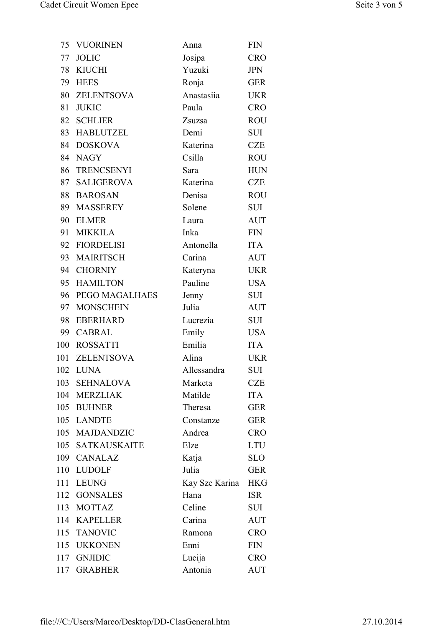| 75  | <b>VUORINEN</b>   | Anna           | <b>FIN</b> |
|-----|-------------------|----------------|------------|
| 77  | <b>JOLIC</b>      | Josipa         | <b>CRO</b> |
| 78  | <b>KIUCHI</b>     | Yuzuki         | <b>JPN</b> |
| 79  | <b>HEES</b>       | Ronja          | <b>GER</b> |
|     | 80 ZELENTSOVA     | Anastasiia     | <b>UKR</b> |
| 81  | <b>JUKIC</b>      | Paula          | <b>CRO</b> |
| 82  | <b>SCHLIER</b>    | Zsuzsa         | <b>ROU</b> |
| 83  | <b>HABLUTZEL</b>  | Demi           | SUI        |
|     | 84 DOSKOVA        | Katerina       | <b>CZE</b> |
|     | 84 NAGY           | Csilla         | <b>ROU</b> |
| 86  | <b>TRENCSENYI</b> | Sara           | <b>HUN</b> |
| 87  | <b>SALIGEROVA</b> | Katerina       | <b>CZE</b> |
| 88  | <b>BAROSAN</b>    | Denisa         | <b>ROU</b> |
| 89  | <b>MASSEREY</b>   | Solene         | SUI        |
| 90  | <b>ELMER</b>      | Laura          | <b>AUT</b> |
| 91  | <b>MIKKILA</b>    | Inka           | <b>FIN</b> |
|     | 92 FIORDELISI     | Antonella      | <b>ITA</b> |
| 93  | <b>MAIRITSCH</b>  | Carina         | <b>AUT</b> |
| 94  | <b>CHORNIY</b>    | Kateryna       | <b>UKR</b> |
| 95  | <b>HAMILTON</b>   | Pauline        | <b>USA</b> |
| 96  | PEGO MAGALHAES    | Jenny          | <b>SUI</b> |
| 97  | <b>MONSCHEIN</b>  | Julia          | <b>AUT</b> |
| 98  | <b>EBERHARD</b>   | Lucrezia       | SUI        |
| 99  | CABRAL            | Emily          | <b>USA</b> |
|     | 100 ROSSATTI      | Emilia         | <b>ITA</b> |
|     | 101 ZELENTSOVA    | Alina          | <b>UKR</b> |
| 102 | <b>LUNA</b>       | Allessandra    | <b>SUI</b> |
|     | 103 SEHNALOVA     | Marketa        | <b>CZE</b> |
|     | 104 MERZLIAK      | Matilde        | <b>ITA</b> |
|     | 105 BUHNER        | Theresa        | <b>GER</b> |
|     | 105 LANDTE        | Constanze      | <b>GER</b> |
|     | 105 MAJDANDZIC    | Andrea         | <b>CRO</b> |
|     | 105 SATKAUSKAITE  | Elze           | <b>LTU</b> |
| 109 | <b>CANALAZ</b>    | Katja          | <b>SLO</b> |
|     | 110 LUDOLF        | Julia          | <b>GER</b> |
|     | 111 LEUNG         | Kay Sze Karina | <b>HKG</b> |
| 112 | <b>GONSALES</b>   | Hana           | <b>ISR</b> |
|     | 113 MOTTAZ        | Celine         | SUI        |
|     | 114 KAPELLER      | Carina         | <b>AUT</b> |
|     | 115 TANOVIC       | Ramona         | <b>CRO</b> |
|     | 115 UKKONEN       | Enni           | <b>FIN</b> |
| 117 | <b>GNJIDIC</b>    | Lucija         | <b>CRO</b> |
| 117 | <b>GRABHER</b>    | Antonia        | <b>AUT</b> |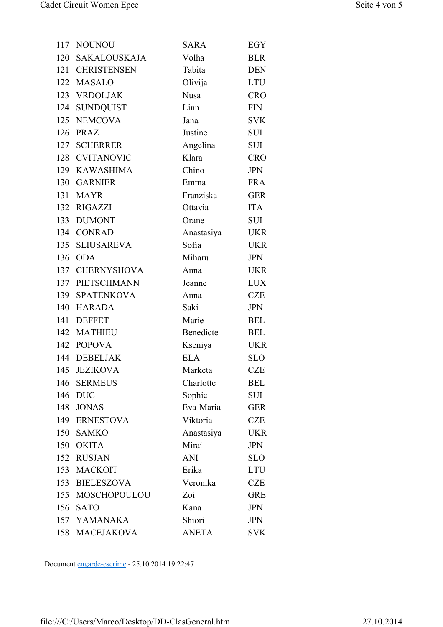| 117 | <b>NOUNOU</b>       | <b>SARA</b>  | <b>EGY</b> |
|-----|---------------------|--------------|------------|
| 120 | <b>SAKALOUSKAJA</b> | Volha        | <b>BLR</b> |
| 121 | <b>CHRISTENSEN</b>  | Tabita       | <b>DEN</b> |
|     | 122 MASALO          | Olivija      | <b>LTU</b> |
|     | 123 VRDOLJAK        | <b>Nusa</b>  | <b>CRO</b> |
|     | 124 SUNDQUIST       | Linn         | <b>FIN</b> |
|     | 125 NEMCOVA         | Jana         | <b>SVK</b> |
| 126 | PRAZ                | Justine      | <b>SUI</b> |
| 127 | <b>SCHERRER</b>     | Angelina     | SUI        |
|     | 128 CVITANOVIC      | Klara        | <b>CRO</b> |
|     | 129 KAWASHIMA       | Chino        | <b>JPN</b> |
|     | 130 GARNIER         | Emma         | <b>FRA</b> |
|     | 131 MAYR            | Franziska    | <b>GER</b> |
|     | 132 RIGAZZI         | Ottavia      | <b>ITA</b> |
|     | 133 DUMONT          | Orane        | SUI        |
|     | 134 CONRAD          | Anastasiya   | <b>UKR</b> |
|     | 135 SLIUSAREVA      | Sofia        | <b>UKR</b> |
| 136 | <b>ODA</b>          | Miharu       | <b>JPN</b> |
|     | 137 CHERNYSHOVA     | Anna         | <b>UKR</b> |
|     | 137 PIETSCHMANN     | Jeanne       | <b>LUX</b> |
|     | 139 SPATENKOVA      | Anna         | <b>CZE</b> |
|     | 140 HARADA          | Saki         | <b>JPN</b> |
| 141 | <b>DEFFET</b>       | Marie        | <b>BEL</b> |
|     | 142 MATHIEU         | Benedicte    | <b>BEL</b> |
|     | 142 POPOVA          | Kseniya      | <b>UKR</b> |
|     | 144 DEBELJAK        | <b>ELA</b>   | <b>SLO</b> |
| 145 | <b>JEZIKOVA</b>     | Marketa      | <b>CZE</b> |
| 146 | <b>SERMEUS</b>      | Charlotte    | <b>BEL</b> |
| 146 | <b>DUC</b>          | Sophie       | SUI        |
|     | 148 JONAS           | Eva-Maria    | <b>GER</b> |
|     | 149 ERNESTOVA       | Viktoria     | <b>CZE</b> |
| 150 | <b>SAMKO</b>        | Anastasiya   | <b>UKR</b> |
| 150 | <b>OKITA</b>        | Mirai        | <b>JPN</b> |
| 152 | <b>RUSJAN</b>       | ANI          | <b>SLO</b> |
|     | 153 MACKOIT         | Erika        | <b>LTU</b> |
|     | 153 BIELESZOVA      | Veronika     | <b>CZE</b> |
|     | 155 MOSCHOPOULOU    | Zoi          | <b>GRE</b> |
| 156 | <b>SATO</b>         | Kana         | <b>JPN</b> |
|     | 157 YAMANAKA        | Shiori       | <b>JPN</b> |
|     | 158 MACEJAKOVA      | <b>ANETA</b> | <b>SVK</b> |

Document engarde-escrime - 25.10.2014 19:22:47